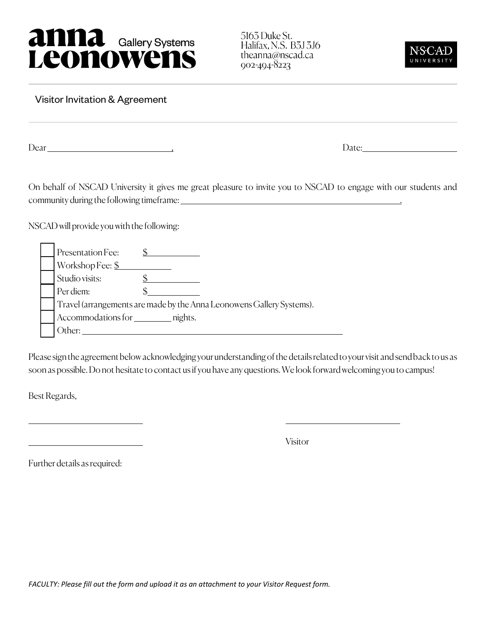## **anna** Gallery Systems Leonowens

5163 Duke St. Halifax, N.S. B3J 3J6 theanna@nscad.ca  $902 - 404 - 8223$ 



Visitor Invitation & Agreement

Dear Date:

On behalf of NSCAD University it gives me great pleasure to invite you to NSCAD to engage with our students and community during the following timeframe: .

NSCAD will provide you with the following:

| Presentation Fee:                     |                                                                       |
|---------------------------------------|-----------------------------------------------------------------------|
| Workshop Fee: \$                      |                                                                       |
| Studio visits:                        |                                                                       |
| Per diem:                             |                                                                       |
|                                       | Travel (arrangements are made by the Anna Leonowens Gallery Systems). |
| Accommodations for __________ nights. |                                                                       |
| )ther                                 |                                                                       |

Please sign the agreement below acknowledging your understanding of the details related to your visit and send back to us as soon as possible. Do not hesitate to contact us if you have any questions. We look forward welcoming you to campus!

Best Regards,

Visitor

Further details as required:

*FACULTY: Please fill out the form and upload it as an attachment to your Visitor Request form.*